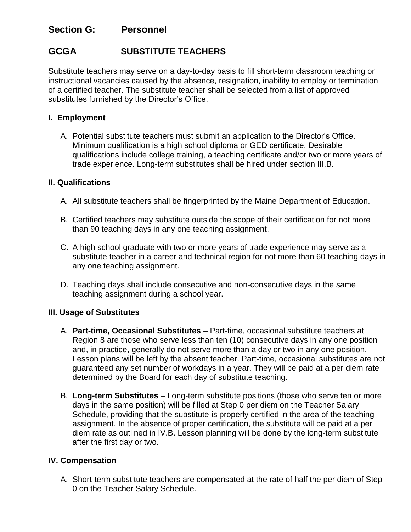## **Section G: Personnel**

# **GCGA SUBSTITUTE TEACHERS**

Substitute teachers may serve on a day-to-day basis to fill short-term classroom teaching or instructional vacancies caused by the absence, resignation, inability to employ or termination of a certified teacher. The substitute teacher shall be selected from a list of approved substitutes furnished by the Director's Office.

## **I. Employment**

A. Potential substitute teachers must submit an application to the Director's Office. Minimum qualification is a high school diploma or GED certificate. Desirable qualifications include college training, a teaching certificate and/or two or more years of trade experience. Long-term substitutes shall be hired under section III.B.

## **II. Qualifications**

- A. All substitute teachers shall be fingerprinted by the Maine Department of Education.
- B. Certified teachers may substitute outside the scope of their certification for not more than 90 teaching days in any one teaching assignment.
- C. A high school graduate with two or more years of trade experience may serve as a substitute teacher in a career and technical region for not more than 60 teaching days in any one teaching assignment.
- D. Teaching days shall include consecutive and non-consecutive days in the same teaching assignment during a school year.

#### **III. Usage of Substitutes**

- A. **Part-time, Occasional Substitutes** Part-time, occasional substitute teachers at Region 8 are those who serve less than ten (10) consecutive days in any one position and, in practice, generally do not serve more than a day or two in any one position. Lesson plans will be left by the absent teacher. Part-time, occasional substitutes are not guaranteed any set number of workdays in a year. They will be paid at a per diem rate determined by the Board for each day of substitute teaching.
- B. **Long-term Substitutes** Long-term substitute positions (those who serve ten or more days in the same position) will be filled at Step 0 per diem on the Teacher Salary Schedule, providing that the substitute is properly certified in the area of the teaching assignment. In the absence of proper certification, the substitute will be paid at a per diem rate as outlined in IV.B. Lesson planning will be done by the long-term substitute after the first day or two.

#### **IV. Compensation**

A. Short-term substitute teachers are compensated at the rate of half the per diem of Step 0 on the Teacher Salary Schedule.